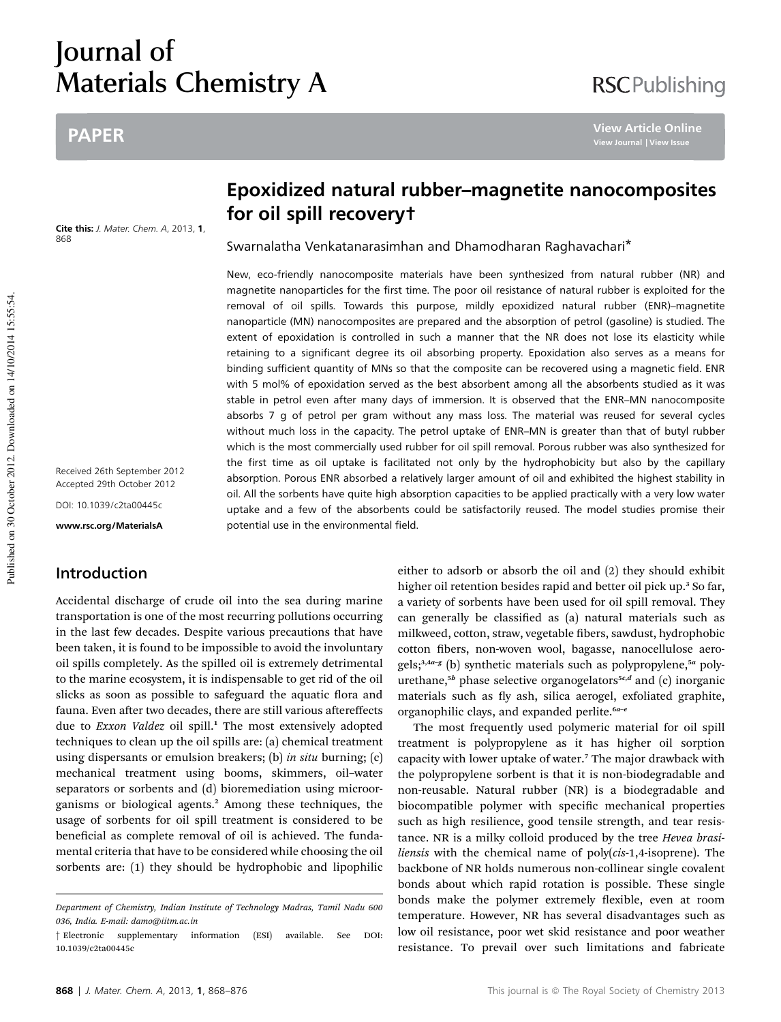# Journal of Materials Chemistry A

# PAPER

Cite this: J. Mater. Chem. A, 2013, 1, 868

Received 26th September 2012 Accepted 29th October 2012

DOI: 10.1039/c2ta00445c

www.rsc.org/MaterialsA

# Introduction

Accidental discharge of crude oil into the sea during marine transportation is one of the most recurring pollutions occurring in the last few decades. Despite various precautions that have been taken, it is found to be impossible to avoid the involuntary oil spills completely. As the spilled oil is extremely detrimental to the marine ecosystem, it is indispensable to get rid of the oil slicks as soon as possible to safeguard the aquatic flora and fauna. Even after two decades, there are still various aftereffects due to *Exxon Valdez* oil spill.<sup>1</sup> The most extensively adopted techniques to clean up the oil spills are: (a) chemical treatment using dispersants or emulsion breakers; (b) *in situ* burning; (c) mechanical treatment using booms, skimmers, oil–water separators or sorbents and (d) bioremediation using microorganisms or biological agents.<sup>2</sup> Among these techniques, the usage of sorbents for oil spill treatment is considered to be beneficial as complete removal of oil is achieved. The fundamental criteria that have to be considered while choosing the oil sorbents are: (1) they should be hydrophobic and lipophilic

# Epoxidized natural rubber–magnetite nanocomposites for oil spill recovery†

Swarnalatha Venkatanarasimhan and Dhamodharan Raghavachari\*

New, eco-friendly nanocomposite materials have been synthesized from natural rubber (NR) and magnetite nanoparticles for the first time. The poor oil resistance of natural rubber is exploited for the removal of oil spills. Towards this purpose, mildly epoxidized natural rubber (ENR)–magnetite nanoparticle (MN) nanocomposites are prepared and the absorption of petrol (gasoline) is studied. The extent of epoxidation is controlled in such a manner that the NR does not lose its elasticity while retaining to a significant degree its oil absorbing property. Epoxidation also serves as a means for binding sufficient quantity of MNs so that the composite can be recovered using a magnetic field. ENR with 5 mol% of epoxidation served as the best absorbent among all the absorbents studied as it was stable in petrol even after many days of immersion. It is observed that the ENR–MN nanocomposite absorbs 7 g of petrol per gram without any mass loss. The material was reused for several cycles without much loss in the capacity. The petrol uptake of ENR–MN is greater than that of butyl rubber which is the most commercially used rubber for oil spill removal. Porous rubber was also synthesized for the first time as oil uptake is facilitated not only by the hydrophobicity but also by the capillary absorption. Porous ENR absorbed a relatively larger amount of oil and exhibited the highest stability in oil. All the sorbents have quite high absorption capacities to be applied practically with a very low water uptake and a few of the absorbents could be satisfactorily reused. The model studies promise their potential use in the environmental field.

> either to adsorb or absorb the oil and (2) they should exhibit higher oil retention besides rapid and better oil pick up.<sup>3</sup> So far, a variety of sorbents have been used for oil spill removal. They can generally be classified as (a) natural materials such as milkweed, cotton, straw, vegetable fibers, sawdust, hydrophobic cotton fibers, non-woven wool, bagasse, nanocellulose aerogels;<sup>3,4a-g</sup> (b) synthetic materials such as polypropylene,<sup>5a</sup> polyurethane,<sup>5b</sup> phase selective organogelators<sup>5c,d</sup> and (c) inorganic materials such as fly ash, silica aerogel, exfoliated graphite, organophilic clays, and expanded perlite. $6a-e$

> The most frequently used polymeric material for oil spill treatment is polypropylene as it has higher oil sorption capacity with lower uptake of water.<sup>7</sup> The major drawback with the polypropylene sorbent is that it is non-biodegradable and non-reusable. Natural rubber (NR) is a biodegradable and biocompatible polymer with specific mechanical properties such as high resilience, good tensile strength, and tear resistance. NR is a milky colloid produced by the tree *Hevea brasiliensis* with the chemical name of poly(*cis*-1,4-isoprene). The backbone of NR holds numerous non-collinear single covalent bonds about which rapid rotation is possible. These single bonds make the polymer extremely flexible, even at room temperature. However, NR has several disadvantages such as low oil resistance, poor wet skid resistance and poor weather resistance. To prevail over such limitations and fabricate

**View Article Online**

*Department of Chemistry, Indian Institute of Technology Madras, Tamil Nadu 600 036, India. E-mail: damo@iitm.ac.in*

<sup>†</sup> Electronic supplementary information (ESI) available. See DOI: 10.1039/c2ta00445c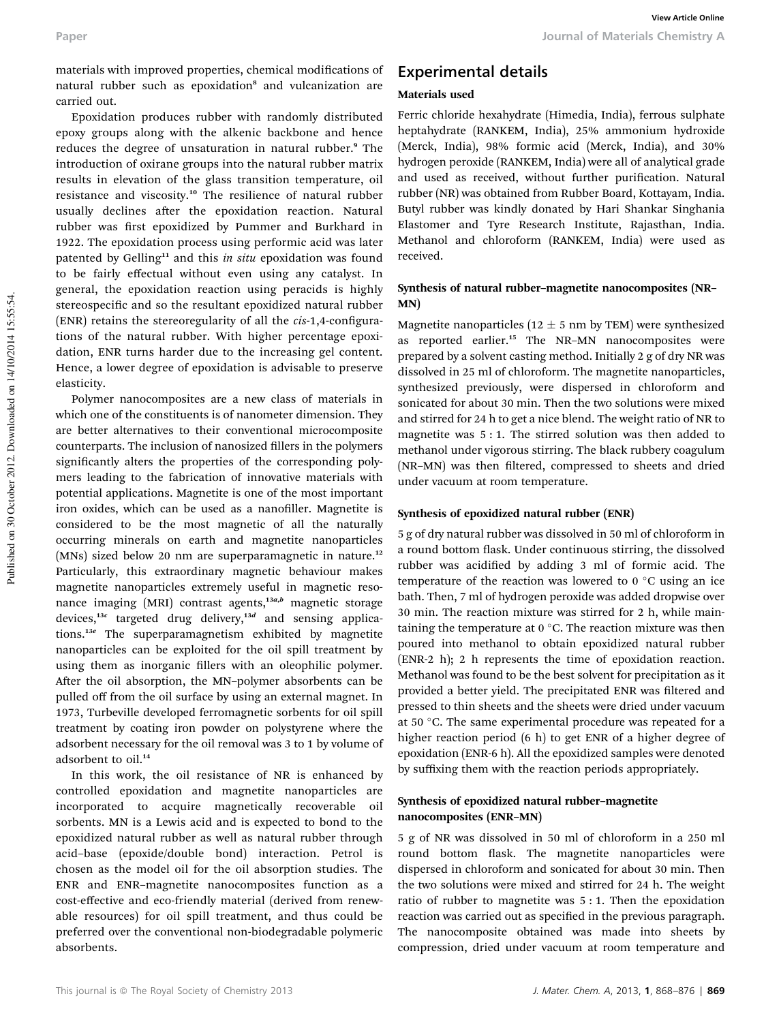materials with improved properties, chemical modifications of natural rubber such as epoxidation<sup>8</sup> and vulcanization are carried out.

Epoxidation produces rubber with randomly distributed epoxy groups along with the alkenic backbone and hence reduces the degree of unsaturation in natural rubber.<sup>9</sup> The introduction of oxirane groups into the natural rubber matrix results in elevation of the glass transition temperature, oil resistance and viscosity.<sup>10</sup> The resilience of natural rubber usually declines after the epoxidation reaction. Natural rubber was first epoxidized by Pummer and Burkhard in 1922. The epoxidation process using performic acid was later patented by Gelling<sup>11</sup> and this *in situ* epoxidation was found to be fairly effectual without even using any catalyst. In general, the epoxidation reaction using peracids is highly stereospecific and so the resultant epoxidized natural rubber (ENR) retains the stereoregularity of all the *cis*-1,4-configurations of the natural rubber. With higher percentage epoxidation, ENR turns harder due to the increasing gel content. Hence, a lower degree of epoxidation is advisable to preserve elasticity.

Polymer nanocomposites are a new class of materials in which one of the constituents is of nanometer dimension. They are better alternatives to their conventional microcomposite counterparts. The inclusion of nanosized fillers in the polymers significantly alters the properties of the corresponding polymers leading to the fabrication of innovative materials with potential applications. Magnetite is one of the most important iron oxides, which can be used as a nanofiller. Magnetite is considered to be the most magnetic of all the naturally occurring minerals on earth and magnetite nanoparticles (MNs) sized below 20 nm are superparamagnetic in nature.<sup>12</sup> Particularly, this extraordinary magnetic behaviour makes magnetite nanoparticles extremely useful in magnetic resonance imaging (MRI) contrast agents, $13a,b$  magnetic storage devices,<sup>13c</sup> targeted drug delivery,<sup>13d</sup> and sensing applications.<sup>13</sup><sup>e</sup> The superparamagnetism exhibited by magnetite nanoparticles can be exploited for the oil spill treatment by using them as inorganic fillers with an oleophilic polymer. After the oil absorption, the MN-polymer absorbents can be pulled off from the oil surface by using an external magnet. In 1973, Turbeville developed ferromagnetic sorbents for oil spill treatment by coating iron powder on polystyrene where the adsorbent necessary for the oil removal was 3 to 1 by volume of adsorbent to oil.<sup>14</sup>

In this work, the oil resistance of NR is enhanced by controlled epoxidation and magnetite nanoparticles are incorporated to acquire magnetically recoverable oil sorbents. MN is a Lewis acid and is expected to bond to the epoxidized natural rubber as well as natural rubber through acid–base (epoxide/double bond) interaction. Petrol is chosen as the model oil for the oil absorption studies. The ENR and ENR–magnetite nanocomposites function as a cost-effective and eco-friendly material (derived from renewable resources) for oil spill treatment, and thus could be preferred over the conventional non-biodegradable polymeric absorbents.

# Experimental details

## Materials used

Ferric chloride hexahydrate (Himedia, India), ferrous sulphate heptahydrate (RANKEM, India), 25% ammonium hydroxide (Merck, India), 98% formic acid (Merck, India), and 30% hydrogen peroxide (RANKEM, India) were all of analytical grade and used as received, without further purification. Natural rubber (NR) was obtained from Rubber Board, Kottayam, India. Butyl rubber was kindly donated by Hari Shankar Singhania Elastomer and Tyre Research Institute, Rajasthan, India. Methanol and chloroform (RANKEM, India) were used as received.

### Synthesis of natural rubber–magnetite nanocomposites (NR– MN)

Magnetite nanoparticles (12  $\pm$  5 nm by TEM) were synthesized as reported earlier.<sup>15</sup> The NR-MN nanocomposites were prepared by a solvent casting method. Initially 2 g of dry NR was dissolved in 25 ml of chloroform. The magnetite nanoparticles, synthesized previously, were dispersed in chloroform and sonicated for about 30 min. Then the two solutions were mixed and stirred for 24 h to get a nice blend. The weight ratio of NR to magnetite was 5 : 1. The stirred solution was then added to methanol under vigorous stirring. The black rubbery coagulum (NR-MN) was then filtered, compressed to sheets and dried under vacuum at room temperature.

### Synthesis of epoxidized natural rubber (ENR)

5 g of dry natural rubber was dissolved in 50 ml of chloroform in a round bottom flask. Under continuous stirring, the dissolved rubber was acidified by adding 3 ml of formic acid. The temperature of the reaction was lowered to  $0^{\circ}$ C using an ice bath. Then, 7 ml of hydrogen peroxide was added dropwise over 30 min. The reaction mixture was stirred for 2 h, while maintaining the temperature at  $0^{\circ}$ C. The reaction mixture was then poured into methanol to obtain epoxidized natural rubber (ENR-2 h); 2 h represents the time of epoxidation reaction. Methanol was found to be the best solvent for precipitation as it provided a better yield. The precipitated ENR was filtered and pressed to thin sheets and the sheets were dried under vacuum at 50 °C. The same experimental procedure was repeated for a higher reaction period (6 h) to get ENR of a higher degree of epoxidation (ENR-6 h). All the epoxidized samples were denoted by suffixing them with the reaction periods appropriately.

## Synthesis of epoxidized natural rubber–magnetite nanocomposites (ENR–MN)

5 g of NR was dissolved in 50 ml of chloroform in a 250 ml round bottom flask. The magnetite nanoparticles were dispersed in chloroform and sonicated for about 30 min. Then the two solutions were mixed and stirred for 24 h. The weight ratio of rubber to magnetite was 5 : 1. Then the epoxidation reaction was carried out as specified in the previous paragraph. The nanocomposite obtained was made into sheets by compression, dried under vacuum at room temperature and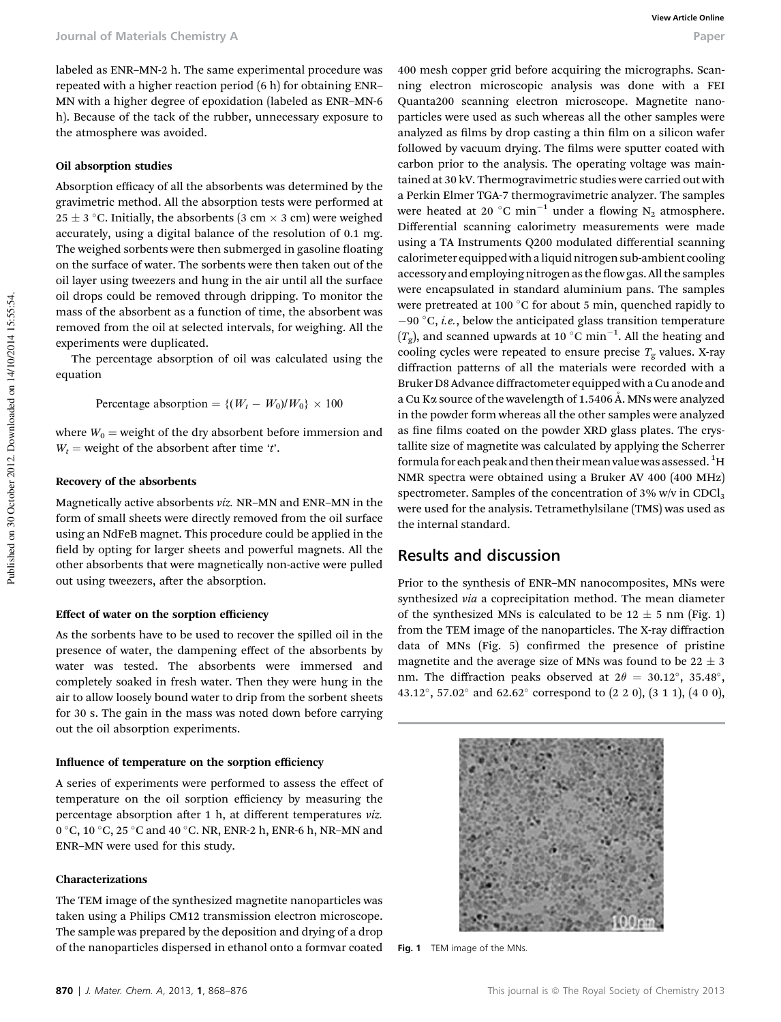labeled as ENR–MN-2 h. The same experimental procedure was repeated with a higher reaction period (6 h) for obtaining ENR– MN with a higher degree of epoxidation (labeled as ENR–MN-6 h). Because of the tack of the rubber, unnecessary exposure to the atmosphere was avoided.

#### Oil absorption studies

Absorption efficacy of all the absorbents was determined by the gravimetric method. All the absorption tests were performed at  $25 \pm 3$  °C. Initially, the absorbents (3 cm  $\times$  3 cm) were weighed accurately, using a digital balance of the resolution of 0.1 mg. The weighed sorbents were then submerged in gasoline floating on the surface of water. The sorbents were then taken out of the oil layer using tweezers and hung in the air until all the surface oil drops could be removed through dripping. To monitor the mass of the absorbent as a function of time, the absorbent was removed from the oil at selected intervals, for weighing. All the experiments were duplicated.

The percentage absorption of oil was calculated using the equation

Percentage absorption = { $(W_t - W_0) / W_0$ } × 100

where  $W_0$  = weight of the dry absorbent before immersion and  $W_t$  = weight of the absorbent after time '*t*'.

#### Recovery of the absorbents

Magnetically active absorbents *viz.* NR–MN and ENR–MN in the form of small sheets were directly removed from the oil surface using an NdFeB magnet. This procedure could be applied in the field by opting for larger sheets and powerful magnets. All the other absorbents that were magnetically non-active were pulled out using tweezers, after the absorption.

#### Effect of water on the sorption efficiency

As the sorbents have to be used to recover the spilled oil in the presence of water, the dampening effect of the absorbents by water was tested. The absorbents were immersed and completely soaked in fresh water. Then they were hung in the air to allow loosely bound water to drip from the sorbent sheets for 30 s. The gain in the mass was noted down before carrying out the oil absorption experiments.

#### Influence of temperature on the sorption efficiency

A series of experiments were performed to assess the effect of temperature on the oil sorption efficiency by measuring the percentage absorption after 1 h, at different temperatures viz. 0 °C, 10 °C, 25 °C and 40 °C. NR, ENR-2 h, ENR-6 h, NR-MN and ENR–MN were used for this study.

#### Characterizations

The TEM image of the synthesized magnetite nanoparticles was taken using a Philips CM12 transmission electron microscope. The sample was prepared by the deposition and drying of a drop of the nanoparticles dispersed in ethanol onto a formvar coated

400 mesh copper grid before acquiring the micrographs. Scanning electron microscopic analysis was done with a FEI Quanta200 scanning electron microscope. Magnetite nanoparticles were used as such whereas all the other samples were analyzed as films by drop casting a thin film on a silicon wafer followed by vacuum drying. The films were sputter coated with carbon prior to the analysis. The operating voltage was maintained at 30 kV. Thermogravimetric studies were carried out with a Perkin Elmer TGA-7 thermogravimetric analyzer. The samples were heated at 20 °C min<sup>-1</sup> under a flowing N<sub>2</sub> atmosphere. Differential scanning calorimetry measurements were made using a TA Instruments Q200 modulated differential scanning calorimeter equipped with aliquid nitrogen sub-ambient cooling accessory and employing nitrogen as the flow gas. All the samples were encapsulated in standard aluminium pans. The samples were pretreated at 100 $\degree$ C for about 5 min, quenched rapidly to  $-90$  °C, *i.e.*, below the anticipated glass transition temperature  $(T_g)$ , and scanned upwards at 10 °C min<sup>-1</sup>. All the heating and cooling cycles were repeated to ensure precise  $T_g$  values. X-ray diffraction patterns of all the materials were recorded with a Bruker D8 Advance diffractometer equipped with a Cu anode and a Cu K $\alpha$  source of the wavelength of 1.5406 Å. MNs were analyzed in the powder form whereas all the other samples were analyzed as fine films coated on the powder XRD glass plates. The crystallite size of magnetite was calculated by applying the Scherrer formula for each peak and then their mean value was assessed.<sup>1</sup>H NMR spectra were obtained using a Bruker AV 400 (400 MHz) spectrometer. Samples of the concentration of  $3\%$  w/v in CDCl<sub>3</sub> were used for the analysis. Tetramethylsilane (TMS) was used as the internal standard.

# Results and discussion

Prior to the synthesis of ENR–MN nanocomposites, MNs were synthesized *via* a coprecipitation method. The mean diameter of the synthesized MNs is calculated to be  $12 \pm 5$  nm (Fig. 1) from the TEM image of the nanoparticles. The X-ray diffraction data of MNs  $(Fig. 5)$  confirmed the presence of pristine magnetite and the average size of MNs was found to be  $22 \pm 3$ nm. The diffraction peaks observed at  $2\theta = 30.12^{\circ}$ ,  $35.48^{\circ}$ , 43.12°, 57.02° and 62.62° correspond to (2 2 0), (3 1 1), (4 0 0),



Fig. 1 TEM image of the MNs.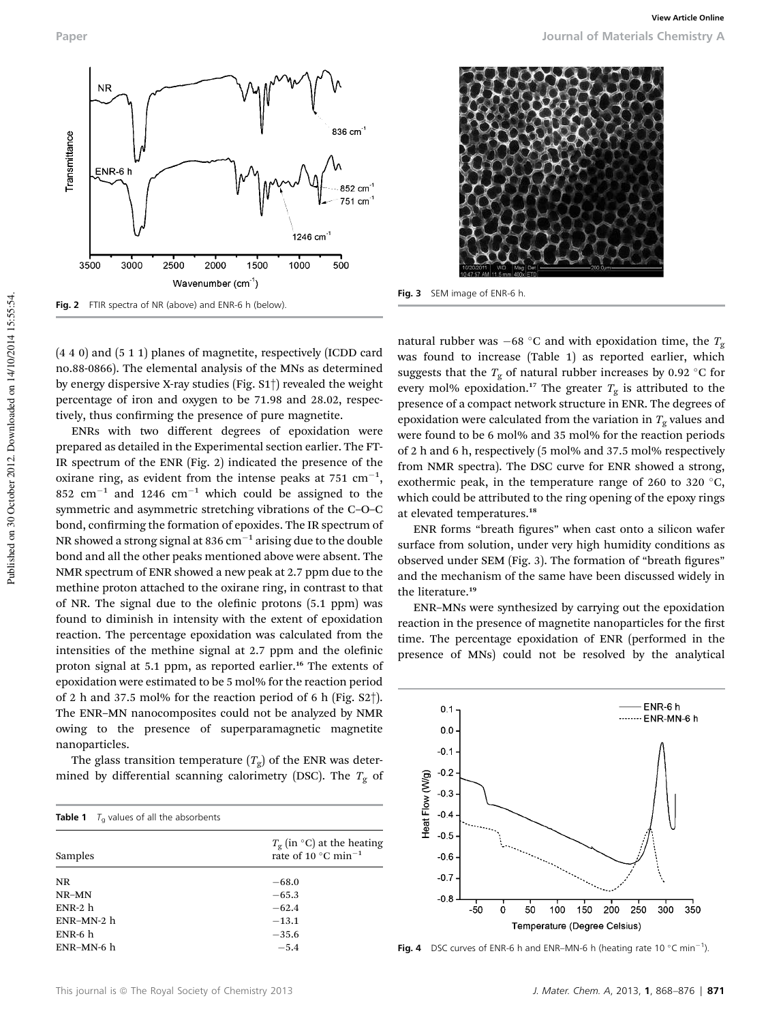

Fig. 2 FTIR spectra of NR (above) and ENR-6 h (below).

(4 4 0) and (5 1 1) planes of magnetite, respectively (ICDD card no.88-0866). The elemental analysis of the MNs as determined by energy dispersive X-ray studies (Fig. S1†) revealed the weight percentage of iron and oxygen to be 71.98 and 28.02, respectively, thus confirming the presence of pure magnetite.

ENRs with two different degrees of epoxidation were prepared as detailed in the Experimental section earlier. The FT-IR spectrum of the ENR (Fig. 2) indicated the presence of the oxirane ring, as evident from the intense peaks at  $751 \text{ cm}^{-1}$ , 852  $\text{cm}^{-1}$  and 1246  $\text{cm}^{-1}$  which could be assigned to the symmetric and asymmetric stretching vibrations of the C–O–C bond, confirming the formation of epoxides. The IR spectrum of NR showed a strong signal at 836  $cm^{-1}$  arising due to the double bond and all the other peaks mentioned above were absent. The NMR spectrum of ENR showed a new peak at 2.7 ppm due to the methine proton attached to the oxirane ring, in contrast to that of NR. The signal due to the olefinic protons  $(5.1$  ppm) was found to diminish in intensity with the extent of epoxidation reaction. The percentage epoxidation was calculated from the intensities of the methine signal at 2.7 ppm and the olefinic proton signal at 5.1 ppm, as reported earlier.<sup>16</sup> The extents of epoxidation were estimated to be 5 mol% for the reaction period of 2 h and 37.5 mol% for the reaction period of 6 h (Fig. S2†). The ENR–MN nanocomposites could not be analyzed by NMR owing to the presence of superparamagnetic magnetite nanoparticles.

The glass transition temperature  $(T_g)$  of the ENR was determined by differential scanning calorimetry (DSC). The  $T_{\rm g}$  of

| <b>Table 1</b> $T_a$ values of all the absorbents |                                                                                 |
|---------------------------------------------------|---------------------------------------------------------------------------------|
| Samples                                           | $T_{\rm g}$ (in °C) at the heating<br>rate of 10 $^{\circ}$ C min <sup>-1</sup> |
| <b>NR</b>                                         | $-68.0$                                                                         |
| NR-MN                                             | $-65.3$                                                                         |
| $ENR-2h$                                          | $-62.4$                                                                         |
| ENR-MN-2 h                                        | $-13.1$                                                                         |
| $ENR-6h$                                          | $-35.6$                                                                         |
| ENR-MN-6 h                                        | $-5.4$                                                                          |



Fig. 3 SEM image of ENR-6 h.

natural rubber was  $-68$  °C and with epoxidation time, the  $T_g$ was found to increase (Table 1) as reported earlier, which suggests that the  $T_{\rm g}$  of natural rubber increases by 0.92 °C for every mol% epoxidation.<sup>17</sup> The greater  $T_g$  is attributed to the presence of a compact network structure in ENR. The degrees of epoxidation were calculated from the variation in  $T_g$  values and were found to be 6 mol% and 35 mol% for the reaction periods of 2 h and 6 h, respectively (5 mol% and 37.5 mol% respectively from NMR spectra). The DSC curve for ENR showed a strong, exothermic peak, in the temperature range of 260 to 320  $^{\circ}$ C, which could be attributed to the ring opening of the epoxy rings at elevated temperatures.<sup>18</sup>

ENR forms "breath figures" when cast onto a silicon wafer surface from solution, under very high humidity conditions as observed under SEM (Fig. 3). The formation of "breath figures" and the mechanism of the same have been discussed widely in the literature.<sup>19</sup>

ENR–MNs were synthesized by carrying out the epoxidation reaction in the presence of magnetite nanoparticles for the first time. The percentage epoxidation of ENR (performed in the presence of MNs) could not be resolved by the analytical



Fig. 4 DSC curves of ENR-6 h and ENR-MN-6 h (heating rate 10  $^{\circ}$ C min<sup>-1</sup>).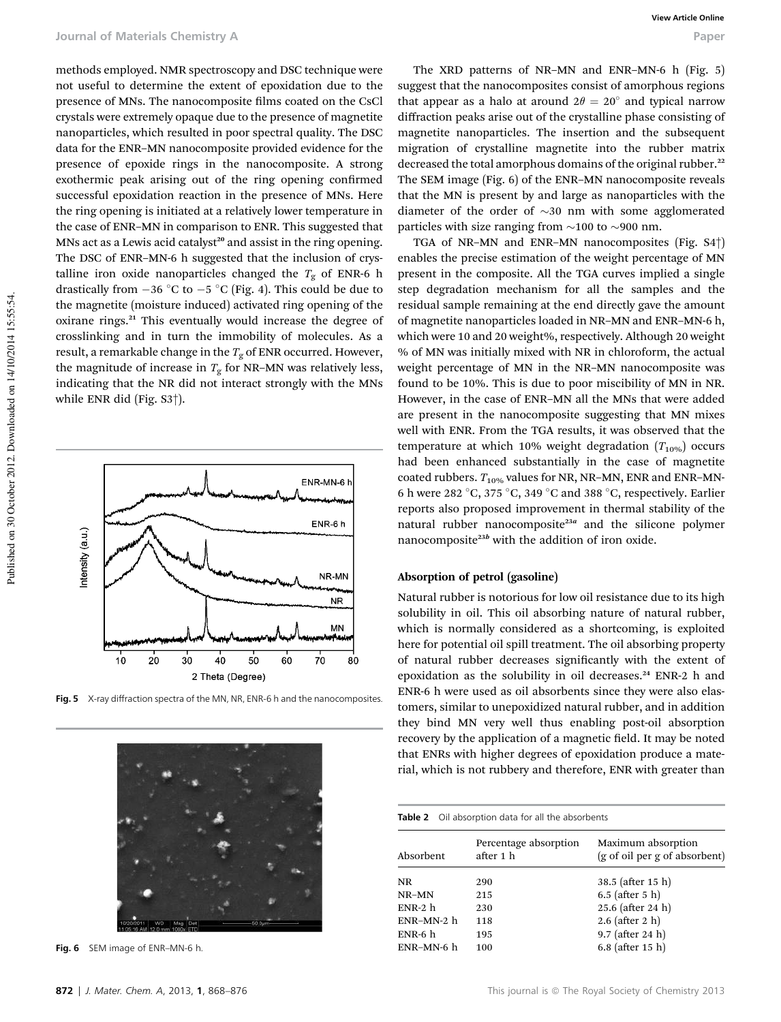methods employed. NMR spectroscopy and DSC technique were not useful to determine the extent of epoxidation due to the presence of MNs. The nanocomposite films coated on the CsCl crystals were extremely opaque due to the presence of magnetite nanoparticles, which resulted in poor spectral quality. The DSC data for the ENR–MN nanocomposite provided evidence for the presence of epoxide rings in the nanocomposite. A strong exothermic peak arising out of the ring opening confirmed successful epoxidation reaction in the presence of MNs. Here the ring opening is initiated at a relatively lower temperature in the case of ENR–MN in comparison to ENR. This suggested that MNs act as a Lewis acid catalyst<sup>20</sup> and assist in the ring opening. The DSC of ENR–MN-6 h suggested that the inclusion of crystalline iron oxide nanoparticles changed the  $T_g$  of ENR-6 h drastically from  $-36$  °C to  $-5$  °C (Fig. 4). This could be due to the magnetite (moisture induced) activated ring opening of the oxirane rings.<sup>21</sup> This eventually would increase the degree of crosslinking and in turn the immobility of molecules. As a result, a remarkable change in the  $T_g$  of ENR occurred. However, the magnitude of increase in  $T_{\rm g}$  for NR–MN was relatively less, indicating that the NR did not interact strongly with the MNs while ENR did (Fig. S3†).



Fig. 5 X-ray diffraction spectra of the MN, NR, ENR-6 h and the nanocomposites.



Fig. 6 SEM image of ENR-MN-6 h.

The XRD patterns of NR–MN and ENR–MN-6 h (Fig. 5) suggest that the nanocomposites consist of amorphous regions that appear as a halo at around  $2\theta = 20^{\circ}$  and typical narrow diffraction peaks arise out of the crystalline phase consisting of magnetite nanoparticles. The insertion and the subsequent migration of crystalline magnetite into the rubber matrix decreased the total amorphous domains of the original rubber.<sup>22</sup> The SEM image (Fig. 6) of the ENR–MN nanocomposite reveals that the MN is present by and large as nanoparticles with the diameter of the order of  $\sim$ 30 nm with some agglomerated particles with size ranging from  $\sim$ 100 to  $\sim$ 900 nm.

TGA of NR–MN and ENR–MN nanocomposites (Fig. S4†) enables the precise estimation of the weight percentage of MN present in the composite. All the TGA curves implied a single step degradation mechanism for all the samples and the residual sample remaining at the end directly gave the amount of magnetite nanoparticles loaded in NR–MN and ENR–MN-6 h, which were 10 and 20 weight%, respectively. Although 20 weight % of MN was initially mixed with NR in chloroform, the actual weight percentage of MN in the NR–MN nanocomposite was found to be 10%. This is due to poor miscibility of MN in NR. However, in the case of ENR–MN all the MNs that were added are present in the nanocomposite suggesting that MN mixes well with ENR. From the TGA results, it was observed that the temperature at which 10% weight degradation  $(T_{10\%})$  occurs had been enhanced substantially in the case of magnetite coated rubbers.  $T_{10\%}$  values for NR, NR-MN, ENR and ENR-MN-6 h were 282 °C, 375 °C, 349 °C and 388 °C, respectively. Earlier reports also proposed improvement in thermal stability of the natural rubber nanocomposite<sup>23a</sup> and the silicone polymer nanocomposite<sup>23b</sup> with the addition of iron oxide.

#### Absorption of petrol (gasoline)

Natural rubber is notorious for low oil resistance due to its high solubility in oil. This oil absorbing nature of natural rubber, which is normally considered as a shortcoming, is exploited here for potential oil spill treatment. The oil absorbing property of natural rubber decreases signicantly with the extent of epoxidation as the solubility in oil decreases.<sup>24</sup> ENR-2 h and ENR-6 h were used as oil absorbents since they were also elastomers, similar to unepoxidized natural rubber, and in addition they bind MN very well thus enabling post-oil absorption recovery by the application of a magnetic field. It may be noted that ENRs with higher degrees of epoxidation produce a material, which is not rubbery and therefore, ENR with greater than

#### Table 2 Oil absorption data for all the absorbents Percentage absorption Maximum absorption

| Absorbent  | r creentage abborption<br>after 1 h | <u>mammann</u> abborperon<br>(g of oil per g of absorbent) |
|------------|-------------------------------------|------------------------------------------------------------|
| NR         | 290                                 | 38.5 (after 15 h)                                          |
| NR-MN      | 215                                 | $6.5$ (after $5$ h)                                        |
| $ENR-2h$   | 230                                 | 25.6 (after 24 h)                                          |
| ENR-MN-2 h | 118                                 | $2.6$ (after 2 h)                                          |
| $ENR-6h$   | 195                                 | $9.7$ (after 24 h)                                         |
| ENR-MN-6 h | 100                                 | $6.8$ (after 15 h)                                         |
|            |                                     |                                                            |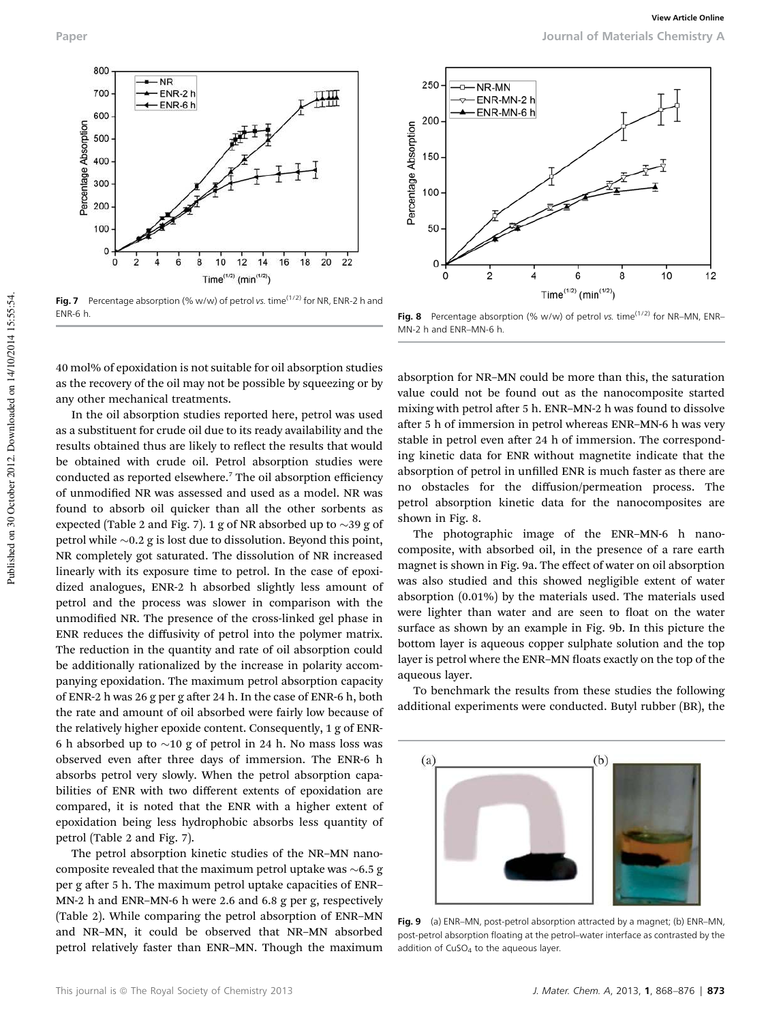

Fig. 7 Percentage absorption (% w/w) of petrol vs. time<sup>(1/2)</sup> for NR, ENR-2 h and ENR-6 h. Fig. 8 Percentage absorption (% w/w) of petrol vs. time<sup>(1/2)</sup> for NR–MN, ENR–

40 mol% of epoxidation is not suitable for oil absorption studies as the recovery of the oil may not be possible by squeezing or by any other mechanical treatments.

In the oil absorption studies reported here, petrol was used as a substituent for crude oil due to its ready availability and the results obtained thus are likely to reflect the results that would be obtained with crude oil. Petrol absorption studies were conducted as reported elsewhere.<sup>7</sup> The oil absorption efficiency of unmodified NR was assessed and used as a model. NR was found to absorb oil quicker than all the other sorbents as expected (Table 2 and Fig. 7). 1 g of NR absorbed up to  $\sim$ 39 g of petrol while  $\sim 0.2$  g is lost due to dissolution. Beyond this point, NR completely got saturated. The dissolution of NR increased linearly with its exposure time to petrol. In the case of epoxidized analogues, ENR-2 h absorbed slightly less amount of petrol and the process was slower in comparison with the unmodified NR. The presence of the cross-linked gel phase in ENR reduces the diffusivity of petrol into the polymer matrix. The reduction in the quantity and rate of oil absorption could be additionally rationalized by the increase in polarity accompanying epoxidation. The maximum petrol absorption capacity of ENR-2 h was 26 g per g after 24 h. In the case of ENR-6 h, both the rate and amount of oil absorbed were fairly low because of the relatively higher epoxide content. Consequently, 1 g of ENR-6 h absorbed up to  $\sim$ 10 g of petrol in 24 h. No mass loss was observed even after three days of immersion. The ENR-6 h absorbs petrol very slowly. When the petrol absorption capabilities of ENR with two different extents of epoxidation are compared, it is noted that the ENR with a higher extent of epoxidation being less hydrophobic absorbs less quantity of petrol (Table 2 and Fig. 7).

The petrol absorption kinetic studies of the NR–MN nanocomposite revealed that the maximum petrol uptake was  $\sim$  6.5 g per g after 5 h. The maximum petrol uptake capacities of ENR-MN-2 h and ENR–MN-6 h were 2.6 and 6.8 g per g, respectively (Table 2). While comparing the petrol absorption of ENR–MN and NR–MN, it could be observed that NR–MN absorbed petrol relatively faster than ENR–MN. Though the maximum



MN-2 h and ENR–MN-6 h.

absorption for NR–MN could be more than this, the saturation value could not be found out as the nanocomposite started mixing with petrol after 5 h. ENR-MN-2 h was found to dissolve after 5 h of immersion in petrol whereas ENR-MN-6 h was very stable in petrol even after 24 h of immersion. The corresponding kinetic data for ENR without magnetite indicate that the absorption of petrol in unfilled ENR is much faster as there are no obstacles for the diffusion/permeation process. The petrol absorption kinetic data for the nanocomposites are shown in Fig. 8.

The photographic image of the ENR–MN-6 h nanocomposite, with absorbed oil, in the presence of a rare earth magnet is shown in Fig. 9a. The effect of water on oil absorption was also studied and this showed negligible extent of water absorption (0.01%) by the materials used. The materials used were lighter than water and are seen to float on the water surface as shown by an example in Fig. 9b. In this picture the bottom layer is aqueous copper sulphate solution and the top layer is petrol where the ENR–MN floats exactly on the top of the aqueous layer.

To benchmark the results from these studies the following additional experiments were conducted. Butyl rubber (BR), the



Fig. 9 (a) ENR-MN, post-petrol absorption attracted by a magnet; (b) ENR-MN, post-petrol absorption floating at the petrol–water interface as contrasted by the addition of  $CuSO<sub>4</sub>$  to the aqueous layer.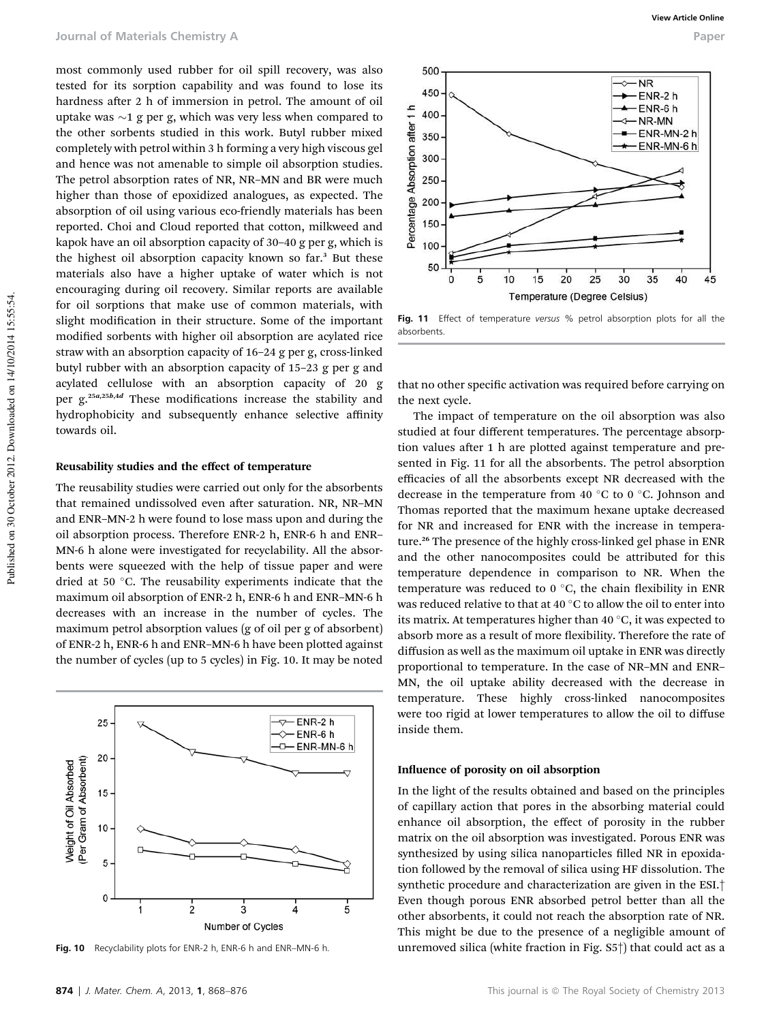most commonly used rubber for oil spill recovery, was also tested for its sorption capability and was found to lose its hardness after 2 h of immersion in petrol. The amount of oil uptake was  $\sim$ 1 g per g, which was very less when compared to the other sorbents studied in this work. Butyl rubber mixed completely with petrol within 3 h forming a very high viscous gel and hence was not amenable to simple oil absorption studies. The petrol absorption rates of NR, NR–MN and BR were much higher than those of epoxidized analogues, as expected. The absorption of oil using various eco-friendly materials has been reported. Choi and Cloud reported that cotton, milkweed and kapok have an oil absorption capacity of 30–40 g per g, which is the highest oil absorption capacity known so far.<sup>3</sup> But these materials also have a higher uptake of water which is not encouraging during oil recovery. Similar reports are available for oil sorptions that make use of common materials, with slight modification in their structure. Some of the important modified sorbents with higher oil absorption are acylated rice straw with an absorption capacity of 16–24 g per g, cross-linked butyl rubber with an absorption capacity of 15–23 g per g and acylated cellulose with an absorption capacity of 20 g per  $g$ <sup>25a,25b,4d</sup> These modifications increase the stability and hydrophobicity and subsequently enhance selective affinity towards oil.

#### Reusability studies and the effect of temperature

The reusability studies were carried out only for the absorbents that remained undissolved even after saturation. NR, NR-MN and ENR–MN-2 h were found to lose mass upon and during the oil absorption process. Therefore ENR-2 h, ENR-6 h and ENR– MN-6 h alone were investigated for recyclability. All the absorbents were squeezed with the help of tissue paper and were dried at 50 °C. The reusability experiments indicate that the maximum oil absorption of ENR-2 h, ENR-6 h and ENR–MN-6 h decreases with an increase in the number of cycles. The maximum petrol absorption values (g of oil per g of absorbent) of ENR-2 h, ENR-6 h and ENR–MN-6 h have been plotted against the number of cycles (up to 5 cycles) in Fig. 10. It may be noted





Fig. 11 Effect of temperature versus % petrol absorption plots for all the absorbents.

that no other specific activation was required before carrying on the next cycle.

The impact of temperature on the oil absorption was also studied at four different temperatures. The percentage absorption values after 1 h are plotted against temperature and presented in Fig. 11 for all the absorbents. The petrol absorption efficacies of all the absorbents except NR decreased with the decrease in the temperature from 40  $\degree$ C to 0  $\degree$ C. Johnson and Thomas reported that the maximum hexane uptake decreased for NR and increased for ENR with the increase in temperature.<sup>26</sup> The presence of the highly cross-linked gel phase in ENR and the other nanocomposites could be attributed for this temperature dependence in comparison to NR. When the temperature was reduced to  $0^{\circ}$ C, the chain flexibility in ENR was reduced relative to that at 40  $^{\circ} \mathrm{C}$  to allow the oil to enter into its matrix. At temperatures higher than 40 $\degree$ C, it was expected to absorb more as a result of more flexibility. Therefore the rate of diffusion as well as the maximum oil uptake in ENR was directly proportional to temperature. In the case of NR–MN and ENR– MN, the oil uptake ability decreased with the decrease in temperature. These highly cross-linked nanocomposites were too rigid at lower temperatures to allow the oil to diffuse inside them.

#### Influence of porosity on oil absorption

In the light of the results obtained and based on the principles of capillary action that pores in the absorbing material could enhance oil absorption, the effect of porosity in the rubber matrix on the oil absorption was investigated. Porous ENR was synthesized by using silica nanoparticles filled NR in epoxidation followed by the removal of silica using HF dissolution. The synthetic procedure and characterization are given in the ESI.† Even though porous ENR absorbed petrol better than all the other absorbents, it could not reach the absorption rate of NR. This might be due to the presence of a negligible amount of Fig. 10 Recyclability plots for ENR-2 h, ENR-6 h and ENR–MN-6 h. unremoved silica (white fraction in Fig. S5<sup>+</sup>) that could act as a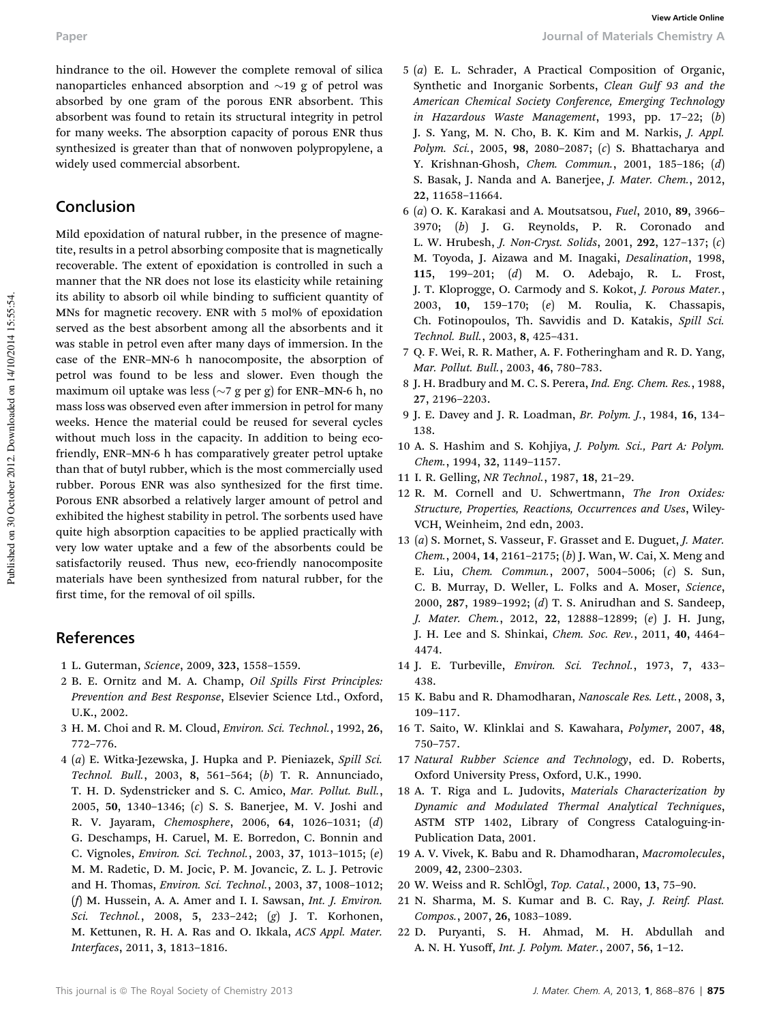hindrance to the oil. However the complete removal of silica nanoparticles enhanced absorption and  $\sim$ 19 g of petrol was absorbed by one gram of the porous ENR absorbent. This absorbent was found to retain its structural integrity in petrol for many weeks. The absorption capacity of porous ENR thus synthesized is greater than that of nonwoven polypropylene, a widely used commercial absorbent.

# Conclusion

Mild epoxidation of natural rubber, in the presence of magnetite, results in a petrol absorbing composite that is magnetically recoverable. The extent of epoxidation is controlled in such a manner that the NR does not lose its elasticity while retaining its ability to absorb oil while binding to sufficient quantity of MNs for magnetic recovery. ENR with 5 mol% of epoxidation served as the best absorbent among all the absorbents and it was stable in petrol even after many days of immersion. In the case of the ENR–MN-6 h nanocomposite, the absorption of petrol was found to be less and slower. Even though the maximum oil uptake was less ( $\sim$ 7 g per g) for ENR–MN-6 h, no mass loss was observed even after immersion in petrol for many weeks. Hence the material could be reused for several cycles without much loss in the capacity. In addition to being ecofriendly, ENR–MN-6 h has comparatively greater petrol uptake than that of butyl rubber, which is the most commercially used rubber. Porous ENR was also synthesized for the first time. Porous ENR absorbed a relatively larger amount of petrol and exhibited the highest stability in petrol. The sorbents used have quite high absorption capacities to be applied practically with very low water uptake and a few of the absorbents could be satisfactorily reused. Thus new, eco-friendly nanocomposite materials have been synthesized from natural rubber, for the first time, for the removal of oil spills.

# References

- 1 L. Guterman, *Science*, 2009, 323, 1558–1559.
- 2 B. E. Ornitz and M. A. Champ, *Oil Spills First Principles: Prevention and Best Response*, Elsevier Science Ltd., Oxford, U.K., 2002.
- 3 H. M. Choi and R. M. Cloud, *Environ. Sci. Technol.*, 1992, 26, 772–776.
- 4 (*a*) E. Witka-Jezewska, J. Hupka and P. Pieniazek, *Spill Sci. Technol. Bull.*, 2003, 8, 561–564; (*b*) T. R. Annunciado, T. H. D. Sydenstricker and S. C. Amico, *Mar. Pollut. Bull.*, 2005, 50, 1340–1346; (*c*) S. S. Banerjee, M. V. Joshi and R. V. Jayaram, *Chemosphere*, 2006, 64, 1026–1031; (*d*) G. Deschamps, H. Caruel, M. E. Borredon, C. Bonnin and C. Vignoles, *Environ. Sci. Technol.*, 2003, 37, 1013–1015; (*e*) M. M. Radetic, D. M. Jocic, P. M. Jovancic, Z. L. J. Petrovic and H. Thomas, *Environ. Sci. Technol.*, 2003, 37, 1008–1012; (*f*) M. Hussein, A. A. Amer and I. I. Sawsan, *Int. J. Environ. Sci. Technol.*, 2008, 5, 233–242; (*g*) J. T. Korhonen, M. Kettunen, R. H. A. Ras and O. Ikkala, *ACS Appl. Mater. Interfaces*, 2011, 3, 1813–1816.
- 5 (*a*) E. L. Schrader, A Practical Composition of Organic, Synthetic and Inorganic Sorbents, *Clean Gulf 93 and the American Chemical Society Conference, Emerging Technology in Hazardous Waste Management*, 1993, pp. 17–22; (*b*) J. S. Yang, M. N. Cho, B. K. Kim and M. Narkis, *J. Appl. Polym. Sci.*, 2005, 98, 2080–2087; (*c*) S. Bhattacharya and Y. Krishnan-Ghosh, *Chem. Commun.*, 2001, 185–186; (*d*) S. Basak, J. Nanda and A. Banerjee, *J. Mater. Chem.*, 2012, 22, 11658–11664.
- 6 (*a*) O. K. Karakasi and A. Moutsatsou, *Fuel*, 2010, 89, 3966– 3970; (*b*) J. G. Reynolds, P. R. Coronado and L. W. Hrubesh, *J. Non-Cryst. Solids*, 2001, 292, 127–137; (*c*) M. Toyoda, J. Aizawa and M. Inagaki, *Desalination*, 1998, 115, 199–201; (*d*) M. O. Adebajo, R. L. Frost, J. T. Kloprogge, O. Carmody and S. Kokot, *J. Porous Mater.*, 2003, 10, 159–170; (*e*) M. Roulia, K. Chassapis, Ch. Fotinopoulos, Th. Savvidis and D. Katakis, *Spill Sci. Technol. Bull.*, 2003, 8, 425–431.
- 7 Q. F. Wei, R. R. Mather, A. F. Fotheringham and R. D. Yang, *Mar. Pollut. Bull.*, 2003, 46, 780–783.
- 8 J. H. Bradbury and M. C. S. Perera, *Ind. Eng. Chem. Res.*, 1988, 27, 2196–2203.
- 9 J. E. Davey and J. R. Loadman, *Br. Polym. J.*, 1984, 16, 134– 138.
- 10 A. S. Hashim and S. Kohjiya, *J. Polym. Sci., Part A: Polym. Chem.*, 1994, 32, 1149–1157.
- 11 I. R. Gelling, *NR Technol.*, 1987, 18, 21–29.
- 12 R. M. Cornell and U. Schwertmann, *The Iron Oxides: Structure, Properties, Reactions, Occurrences and Uses*, Wiley-VCH, Weinheim, 2nd edn, 2003.
- 13 (*a*) S. Mornet, S. Vasseur, F. Grasset and E. Duguet, *J. Mater. Chem.*, 2004, 14, 2161–2175; (*b*) J. Wan, W. Cai, X. Meng and E. Liu, *Chem. Commun.*, 2007, 5004–5006; (*c*) S. Sun, C. B. Murray, D. Weller, L. Folks and A. Moser, *Science*, 2000, 287, 1989–1992; (*d*) T. S. Anirudhan and S. Sandeep, *J. Mater. Chem.*, 2012, 22, 12888–12899; (*e*) J. H. Jung, J. H. Lee and S. Shinkai, *Chem. Soc. Rev.*, 2011, 40, 4464– 4474.
- 14 J. E. Turbeville, *Environ. Sci. Technol.*, 1973, 7, 433– 438.
- 15 K. Babu and R. Dhamodharan, *Nanoscale Res. Lett.*, 2008, 3, 109–117.
- 16 T. Saito, W. Klinklai and S. Kawahara, *Polymer*, 2007, 48, 750–757.
- 17 *Natural Rubber Science and Technology*, ed. D. Roberts, Oxford University Press, Oxford, U.K., 1990.
- 18 A. T. Riga and L. Judovits, *Materials Characterization by Dynamic and Modulated Thermal Analytical Techniques*, ASTM STP 1402, Library of Congress Cataloguing-in-Publication Data, 2001.
- 19 A. V. Vivek, K. Babu and R. Dhamodharan, *Macromolecules*, 2009, 42, 2300–2303.
- 20 W. Weiss and R. SchlÖgl, *Top. Catal.*, 2000, 13, 75-90.
- 21 N. Sharma, M. S. Kumar and B. C. Ray, *J. Reinf. Plast. Compos.*, 2007, 26, 1083–1089.
- 22 D. Puryanti, S. H. Ahmad, M. H. Abdullah and A. N. H. Yusoff, *Int. J. Polym. Mater.*, 2007, 56, 1–12.